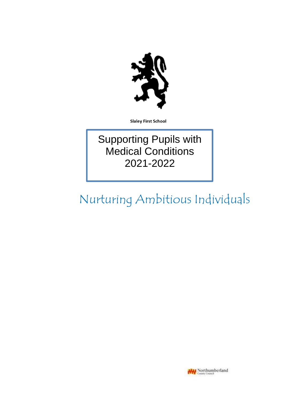

**Slaley First School** 

Supporting Pupils with Medical Conditions 2021-2022

# Nurturing Ambitious Individuals

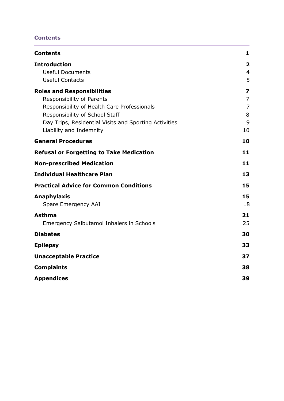# <span id="page-1-0"></span>**Contents**

| <b>Contents</b>                                                                                                                                                                                                                     | 1                                                              |
|-------------------------------------------------------------------------------------------------------------------------------------------------------------------------------------------------------------------------------------|----------------------------------------------------------------|
| <b>Introduction</b><br><b>Useful Documents</b><br><b>Useful Contacts</b>                                                                                                                                                            | $\overline{\mathbf{2}}$<br>$\overline{4}$<br>5                 |
| <b>Roles and Responsibilities</b><br>Responsibility of Parents<br>Responsibility of Health Care Professionals<br>Responsibility of School Staff<br>Day Trips, Residential Visits and Sporting Activities<br>Liability and Indemnity | $\overline{\mathbf{z}}$<br>$\overline{7}$<br>7<br>8<br>9<br>10 |
| <b>General Procedures</b>                                                                                                                                                                                                           | 10                                                             |
| <b>Refusal or Forgetting to Take Medication</b>                                                                                                                                                                                     | 11                                                             |
| <b>Non-prescribed Medication</b>                                                                                                                                                                                                    | 11                                                             |
| <b>Individual Healthcare Plan</b>                                                                                                                                                                                                   | 13                                                             |
| <b>Practical Advice for Common Conditions</b>                                                                                                                                                                                       | 15                                                             |
| <b>Anaphylaxis</b><br>Spare Emergency AAI                                                                                                                                                                                           | 15<br>18                                                       |
| <b>Asthma</b><br><b>Emergency Salbutamol Inhalers in Schools</b>                                                                                                                                                                    | 21<br>25                                                       |
| <b>Diabetes</b>                                                                                                                                                                                                                     | 30                                                             |
| <b>Epilepsy</b>                                                                                                                                                                                                                     | 33                                                             |
| <b>Unacceptable Practice</b>                                                                                                                                                                                                        | 37                                                             |
| <b>Complaints</b>                                                                                                                                                                                                                   | 38                                                             |
| <b>Appendices</b>                                                                                                                                                                                                                   | 39                                                             |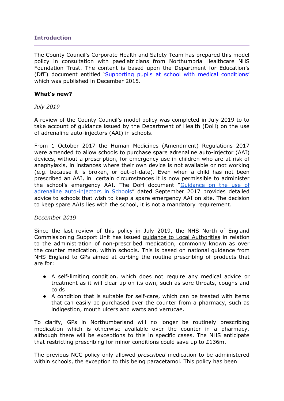# <span id="page-2-0"></span>**Introduction**

The County Council's Corporate Health and Safety Team has prepared this model policy in consultation with paediatricians from Northumbria Healthcare NHS Foundation Trust. The content is based upon the Department for Education's (DfE) document entitled ['Supporting pupils at school with medical conditions'](https://www.gov.uk/government/uploads/system/uploads/attachment_data/file/349435/Statutory_guidance_on_supporting_pupils_at_school_with_medical_conditions.pdf) which was published in December 2015.

## **What's new?**

*July 2019*

A review of the County Council's model policy was completed in July 2019 to to take account of guidance issued by the Department of Health (DoH) on the use of adrenaline auto-injectors (AAI) in schools.

From 1 October 2017 the Human Medicines (Amendment) Regulations 2017 were amended to allow schools to purchase spare adrenaline auto-injector (AAI) devices, without a prescription, for emergency use in children who are at risk of anaphylaxis, in instances where their own device is not available or not working (e.g. because it is broken, or out-of-date). Even when a child has not been prescribed an AAI, in certain circumstances it is now permissible to administer the school's emergency AAI. The DoH document "Guidance on the use of [adrenaline auto-injectors in](https://assets.publishing.service.gov.uk/government/uploads/system/uploads/attachment_data/file/645476/Adrenaline_auto_injectors_in_schools.pdf) [Schools](https://assets.publishing.service.gov.uk/government/uploads/system/uploads/attachment_data/file/645476/Adrenaline_auto_injectors_in_schools.pdf)" dated September 2017 provides detailed advice to schools that wish to keep a spare emergency AAI on site. The decision to keep spare AAIs lies with the school, it is not a mandatory requirement.

# *December 2019*

Since the last review of this policy in July 2019, the NHS North of England Commissioning Support Unit has issued [guidance to Local Authorities](https://drive.google.com/open?id=1COplVc0AU-TqKEJ_fSPEiR9mouuSp11c) in relation to the administration of non-prescribed medication, commonly known as over the counter medication, within schools. This is based on national guidance from NHS England to GPs aimed at curbing the routine prescribing of products that are for:

- A self-limiting condition, which does not require any medical advice or treatment as it will clear up on its own, such as sore throats, coughs and colds
- A condition that is suitable for self-care, which can be treated with items that can easily be purchased over the counter from a pharmacy, such as indigestion, mouth ulcers and warts and verrucae.

To clarify, GPs in Northumberland will no longer be routinely prescribing medication which is otherwise available over the counter in a pharmacy, although there will be exceptions to this in specific cases. The NHS anticipate that restricting prescribing for minor conditions could save up to  $£136m$ .

The previous NCC policy only allowed *prescribed* medication to be administered within schools, the exception to this being paracetamol. This policy has been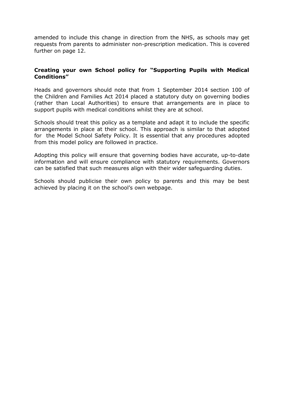amended to include this change in direction from the NHS, as schools may get requests from parents to administer non-prescription medication. This is covered further on page 12.

# **Creating your own School policy for "Supporting Pupils with Medical Conditions"**

Heads and governors should note that from 1 September 2014 section 100 of the Children and Families Act 2014 placed a statutory duty on governing bodies (rather than Local Authorities) to ensure that arrangements are in place to support pupils with medical conditions whilst they are at school.

Schools should treat this policy as a template and adapt it to include the specific arrangements in place at their school. This approach is similar to that adopted for the Model School Safety Policy. It is essential that any procedures adopted from this model policy are followed in practice.

Adopting this policy will ensure that governing bodies have accurate, up-to-date information and will ensure compliance with statutory requirements. Governors can be satisfied that such measures align with their wider safeguarding duties.

Schools should publicise their own policy to parents and this may be best achieved by placing it on the school's own webpage.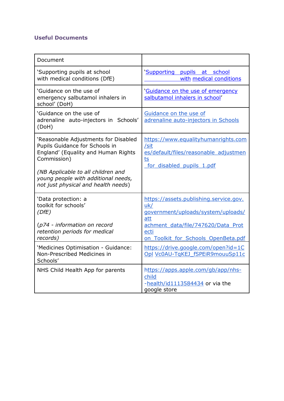# <span id="page-4-0"></span>**Useful Documents**

| Document                                                                                                                                                                                                                                         |                                                                                                                                                                                 |
|--------------------------------------------------------------------------------------------------------------------------------------------------------------------------------------------------------------------------------------------------|---------------------------------------------------------------------------------------------------------------------------------------------------------------------------------|
| 'Supporting pupils at school<br>with medical conditions (DfE)                                                                                                                                                                                    | 'Supporting<br>pupils at school<br>with medical conditions                                                                                                                      |
| 'Guidance on the use of<br>emergency salbutamol inhalers in<br>school' (DoH)                                                                                                                                                                     | 'Guidance on the use of emergency<br>salbutamol inhalers in school'                                                                                                             |
| 'Guidance on the use of<br>adrenaline auto-injectors in Schools'<br>(DoH)                                                                                                                                                                        | Guidance on the use of<br>adrenaline auto-injectors in Schools                                                                                                                  |
| 'Reasonable Adjustments for Disabled<br>Pupils Guidance for Schools in<br>England' (Equality and Human Rights<br>Commission)<br>(NB Applicable to all children and<br>young people with additional needs,<br>not just physical and health needs) | https://www.equalityhumanrights.com<br>/sit<br>es/default/files/reasonable adjustmen<br>ts<br>for disabled pupils 1.pdf                                                         |
| 'Data protection: a<br>toolkit for schools'<br>(DfE)<br>(p74 - information on record<br>retention periods for medical<br>records)                                                                                                                | https://assets.publishing.service.gov.<br>uk/<br>government/uploads/system/uploads/<br>att<br>achment data/file/747620/Data Prot<br>ecti<br>on Toolkit for Schools OpenBeta.pdf |
| 'Medicines Optimisation - Guidance:<br>Non-Prescribed Medicines in<br>Schools'                                                                                                                                                                   | https://drive.google.com/open?id=1C<br>Opl Vc0AU-TqKEJ fSPEiR9mouuSp11c                                                                                                         |
| NHS Child Health App for parents                                                                                                                                                                                                                 | https://apps.apple.com/gb/app/nhs-<br>child<br>-health/id1113584434 or via the<br>google store                                                                                  |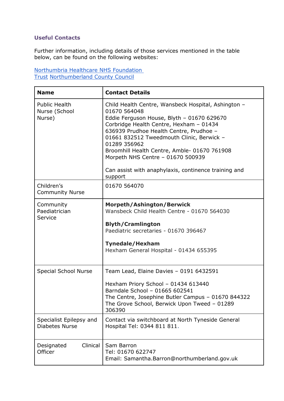# <span id="page-5-0"></span>**Useful Contacts**

Further information, including details of those services mentioned in the table below, can be found on the following websites:

[Northumbria Healthcare NHS Foundation](https://www.northumbria.nhs.uk/our-services/childrens-services/)  [Trust](https://www.northumbria.nhs.uk/our-services/childrens-services/) [Northumberland County Council](https://www.northumberland.gov.uk/Children/Northumberland-Local-Offer-SEND-0-to-25-years/Health.aspx)

| <b>Name</b>                                      | <b>Contact Details</b>                                                                                                                                                                                                                                                                                                                                                                                                       |
|--------------------------------------------------|------------------------------------------------------------------------------------------------------------------------------------------------------------------------------------------------------------------------------------------------------------------------------------------------------------------------------------------------------------------------------------------------------------------------------|
| <b>Public Health</b><br>Nurse (School<br>Nurse)  | Child Health Centre, Wansbeck Hospital, Ashington -<br>01670 564048<br>Eddie Ferguson House, Blyth - 01670 629670<br>Corbridge Health Centre, Hexham - 01434<br>636939 Prudhoe Health Centre, Prudhoe -<br>01661 832512 Tweedmouth Clinic, Berwick -<br>01289 356962<br>Broomhill Health Centre, Amble- 01670 761908<br>Morpeth NHS Centre - 01670 500939<br>Can assist with anaphylaxis, continence training and<br>support |
| Children's<br><b>Community Nurse</b>             | 01670 564070                                                                                                                                                                                                                                                                                                                                                                                                                 |
| Community<br>Paediatrician<br>Service            | <b>Morpeth/Ashington/Berwick</b><br>Wansbeck Child Health Centre - 01670 564030<br><b>Blyth/Cramlington</b><br>Paediatric secretaries - 01670 396467<br><b>Tynedale/Hexham</b><br>Hexham General Hospital - 01434 655395                                                                                                                                                                                                     |
| <b>Special School Nurse</b>                      | Team Lead, Elaine Davies - 0191 6432591<br>Hexham Priory School - 01434 613440<br>Barndale School - 01665 602541<br>The Centre, Josephine Butler Campus - 01670 844322<br>The Grove School, Berwick Upon Tweed - 01289<br>306390                                                                                                                                                                                             |
| Specialist Epilepsy and<br><b>Diabetes Nurse</b> | Contact via switchboard at North Tyneside General<br>Hospital Tel: 0344 811 811.                                                                                                                                                                                                                                                                                                                                             |
| Clinical<br>Designated<br>Officer                | Sam Barron<br>Tel: 01670 622747<br>Email: Samantha.Barron@northumberland.gov.uk                                                                                                                                                                                                                                                                                                                                              |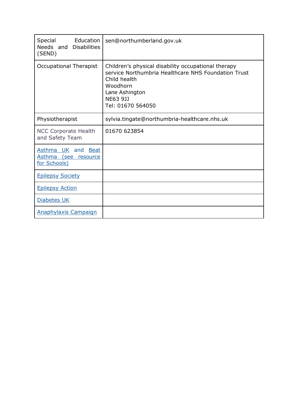| Special<br>Education<br>Needs and Disabilities<br>(SEND)          | sen@northumberland.gov.uk                                                                                                                                                                 |
|-------------------------------------------------------------------|-------------------------------------------------------------------------------------------------------------------------------------------------------------------------------------------|
| <b>Occupational Therapist</b>                                     | Children's physical disability occupational therapy<br>service Northumbria Healthcare NHS Foundation Trust<br>Child health<br>Woodhorn<br>Lane Ashington<br>NE63 9JJ<br>Tel: 01670 564050 |
| Physiotherapist                                                   | sylvia.tingate@northumbria-healthcare.nhs.uk                                                                                                                                              |
| <b>NCC Corporate Health</b><br>and Safety Team                    | 01670 623854                                                                                                                                                                              |
| Asthma UK and Beat<br>Asthma (see resource<br><u>for Schools)</u> |                                                                                                                                                                                           |
| <b>Epilepsy Society</b>                                           |                                                                                                                                                                                           |
| <b>Epilepsy Action</b>                                            |                                                                                                                                                                                           |
| <b>Diabetes UK</b>                                                |                                                                                                                                                                                           |
| <b>Anaphylaxis Campaign</b>                                       |                                                                                                                                                                                           |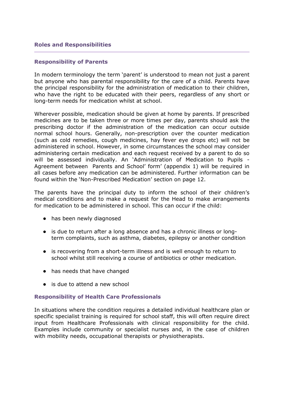#### <span id="page-7-0"></span>**Roles and Responsibilities**

#### <span id="page-7-1"></span>**Responsibility of Parents**

In modern terminology the term 'parent' is understood to mean not just a parent but anyone who has parental responsibility for the care of a child. Parents have the principal responsibility for the administration of medication to their children, who have the right to be educated with their peers, regardless of any short or long-term needs for medication whilst at school.

Wherever possible, medication should be given at home by parents. If prescribed medicines are to be taken three or more times per day, parents should ask the prescribing doctor if the administration of the medication can occur outside normal school hours. Generally, non-prescription over the counter medication (such as cold remedies, cough medicines, hay fever eye drops etc) will not be administered in school. However, in some circumstances the school may consider administering certain medication and each request received by a parent to do so will be assessed individually. An 'Administration of Medication to Pupils - Agreement between Parents and School' form' (appendix 1) will be required in all cases before any medication can be administered. Further information can be found within the 'Non-Prescribed Medication' section on page 12.

The parents have the principal duty to inform the school of their children's medical conditions and to make a request for the Head to make arrangements for medication to be administered in school. This can occur if the child:

- has been newly diagnosed
- is due to return after a long absence and has a chronic illness or longterm complaints, such as asthma, diabetes, epilepsy or another condition
- is recovering from a short-term illness and is well enough to return to school whilst still receiving a course of antibiotics or other medication.
- has needs that have changed
- is due to attend a new school

# <span id="page-7-2"></span>**Responsibility of Health Care Professionals**

In situations where the condition requires a detailed individual healthcare plan or specific specialist training is required for school staff, this will often require direct input from Healthcare Professionals with clinical responsibility for the child. Examples include community or specialist nurses and, in the case of children with mobility needs, occupational therapists or physiotherapists.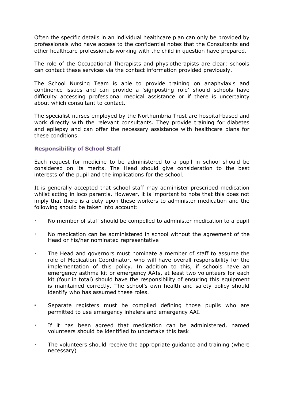Often the specific details in an individual healthcare plan can only be provided by professionals who have access to the confidential notes that the Consultants and other healthcare professionals working with the child in question have prepared.

The role of the Occupational Therapists and physiotherapists are clear; schools can contact these services via the contact information provided previously.

The School Nursing Team is able to provide training on anaphylaxis and continence issues and can provide a 'signposting role' should schools have difficulty accessing professional medical assistance or if there is uncertainty about which consultant to contact.

The specialist nurses employed by the Northumbria Trust are hospital-based and work directly with the relevant consultants. They provide training for diabetes and epilepsy and can offer the necessary assistance with healthcare plans for these conditions.

# <span id="page-8-0"></span>**Responsibility of School Staff**

Each request for medicine to be administered to a pupil in school should be considered on its merits. The Head should give consideration to the best interests of the pupil and the implications for the school.

It is generally accepted that school staff may administer prescribed medication whilst acting in loco parentis. However, it is important to note that this does not imply that there is a duty upon these workers to administer medication and the following should be taken into account:

- No member of staff should be compelled to administer medication to a pupil
- No medication can be administered in school without the agreement of the Head or his/her nominated representative
- The Head and governors must nominate a member of staff to assume the role of Medication Coordinator, who will have overall responsibility for the implementation of this policy. In addition to this, if schools have an emergency asthma kit or emergency AAIs, at least two volunteers for each kit (four in total) should have the responsibility of ensuring this equipment is maintained correctly. The school's own health and safety policy should identify who has assumed these roles.
- Separate registers must be compiled defining those pupils who are permitted to use emergency inhalers and emergency AAI.
- If it has been agreed that medication can be administered, named volunteers should be identified to undertake this task
- The volunteers should receive the appropriate guidance and training (where necessary)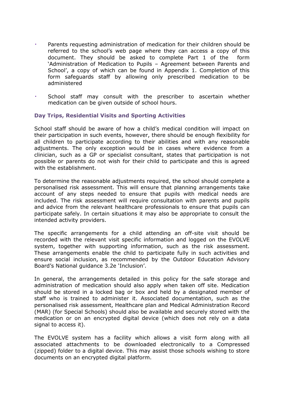- Parents requesting administration of medication for their children should be referred to the school's web page where they can access a copy of this document. They should be asked to complete Part 1 of the form 'Administration of Medication to Pupils – Agreement between Parents and School', a copy of which can be found in Appendix 1. Completion of this form safeguards staff by allowing only prescribed medication to be administered
- School staff may consult with the prescriber to ascertain whether medication can be given outside of school hours.

# <span id="page-9-0"></span>**Day Trips, Residential Visits and Sporting Activities**

School staff should be aware of how a child's medical condition will impact on their participation in such events, however, there should be enough flexibility for all children to participate according to their abilities and with any reasonable adjustments. The only exception would be in cases where evidence from a clinician, such as a GP or specialist consultant, states that participation is not possible or parents do not wish for their child to participate and this is agreed with the establishment.

To determine the reasonable adjustments required, the school should complete a personalised risk assessment. This will ensure that planning arrangements take account of any steps needed to ensure that pupils with medical needs are included. The risk assessment will require consultation with parents and pupils and advice from the relevant healthcare professionals to ensure that pupils can participate safely. In certain situations it may also be appropriate to consult the intended activity providers.

The specific arrangements for a child attending an off-site visit should be recorded with the relevant visit specific information and logged on the EVOLVE system, together with supporting information, such as the risk assessment. These arrangements enable the child to participate fully in such activities and ensure social inclusion, as recommended by the Outdoor Education Advisory Board's National guidance 3.2e 'Inclusion'.

In general, the arrangements detailed in this policy for the safe storage and administration of medication should also apply when taken off site. Medication should be stored in a locked bag or box and held by a designated member of staff who is trained to administer it. Associated documentation, such as the personalised risk assessment, Healthcare plan and Medical Administration Record (MAR) (for Special Schools) should also be available and securely stored with the medication or on an encrypted digital device (which does not rely on a data signal to access it).

The EVOLVE system has a facility which allows a visit form along with all associated attachments to be downloaded electronically to a Compressed (zipped) folder to a digital device. This may assist those schools wishing to store documents on an encrypted digital platform.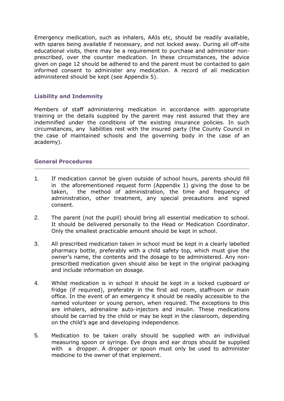Emergency medication, such as inhalers, AAIs etc, should be readily available, with spares being available if necessary, and not locked away. During all off-site educational visits, there may be a requirement to purchase and administer nonprescribed, over the counter medication. In these circumstances, the advice given on page 12 should be adhered to and the parent must be contacted to gain informed consent to administer any medication. A record of all medication administered should be kept (see Appendix 5).

# <span id="page-10-0"></span>**Liability and Indemnity**

Members of staff administering medication in accordance with appropriate training or the details supplied by the parent may rest assured that they are indemnified under the conditions of the existing insurance policies. In such circumstances, any liabilities rest with the insured party (the County Council in the case of maintained schools and the governing body in the case of an academy).

# <span id="page-10-1"></span>**General Procedures**

- 1. If medication cannot be given outside of school hours, parents should fill in the aforementioned request form (Appendix 1) giving the dose to be taken, the method of administration, the time and frequency of administration, other treatment, any special precautions and signed consent.
- 2. The parent (not the pupil) should bring all essential medication to school. It should be delivered personally to the Head or Medication Coordinator. Only the smallest practicable amount should be kept in school.
- 3. All prescribed medication taken in school must be kept in a clearly labelled pharmacy bottle, preferably with a child safety top, which must give the owner's name, the contents and the dosage to be administered. Any nonprescribed medication given should also be kept in the original packaging and include information on dosage.
- 4. Whilst medication is in school it should be kept in a locked cupboard or fridge (if required), preferably in the first aid room, staffroom or main office. In the event of an emergency it should be readily accessible to the named volunteer or young person, when required. The exceptions to this are inhalers, adrenaline auto-injectors and insulin. These medications should be carried by the child or may be kept in the classroom, depending on the child's age and developing independence.
- 5. Medication to be taken orally should be supplied with an individual measuring spoon or syringe. Eye drops and ear drops should be supplied with a dropper. A dropper or spoon must only be used to administer medicine to the owner of that implement.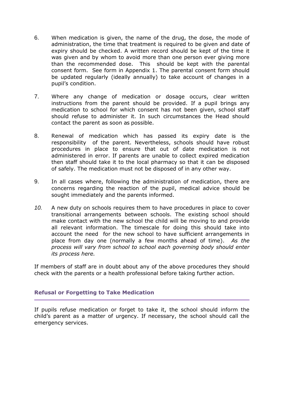- 6. When medication is given, the name of the drug, the dose, the mode of administration, the time that treatment is required to be given and date of expiry should be checked. A written record should be kept of the time it was given and by whom to avoid more than one person ever giving more than the recommended dose. This should be kept with the parental consent form. See form in Appendix 1. The parental consent form should be updated regularly (ideally annually) to take account of changes in a pupil's condition.
- 7. Where any change of medication or dosage occurs, clear written instructions from the parent should be provided. If a pupil brings any medication to school for which consent has not been given, school staff should refuse to administer it. In such circumstances the Head should contact the parent as soon as possible.
- 8. Renewal of medication which has passed its expiry date is the responsibility of the parent. Nevertheless, schools should have robust procedures in place to ensure that out of date medication is not administered in error. If parents are unable to collect expired medication then staff should take it to the local pharmacy so that it can be disposed of safely. The medication must not be disposed of in any other way.
- 9. In all cases where, following the administration of medication, there are concerns regarding the reaction of the pupil, medical advice should be sought immediately and the parents informed.
- *10.* A new duty on schools requires them to have procedures in place to cover transitional arrangements between schools. The existing school should make contact with the new school the child will be moving to and provide all relevant information. The timescale for doing this should take into account the need for the new school to have sufficient arrangements in place from day one (normally a few months ahead of time). *As the process will vary from school to school each governing body should enter its process here.*

If members of staff are in doubt about any of the above procedures they should check with the parents or a health professional before taking further action.

# <span id="page-11-0"></span>**Refusal or Forgetting to Take Medication**

If pupils refuse medication or forget to take it, the school should inform the child's parent as a matter of urgency. If necessary, the school should call the emergency services.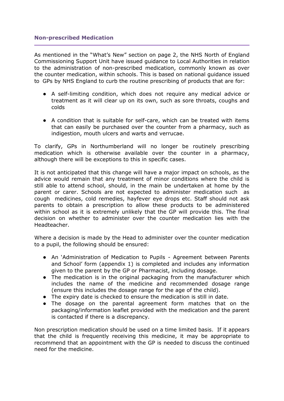## <span id="page-12-0"></span>**Non-prescribed Medication**

As mentioned in the "What's New" section on page 2, the NHS North of England Commissioning Support Unit have issued guidance to Local Authorities in relation to the administration of non-prescribed medication, commonly known as over the counter medication, within schools. This is based on national guidance issued to GPs by NHS England to curb the routine prescribing of products that are for:

- A self-limiting condition, which does not require any medical advice or treatment as it will clear up on its own, such as sore throats, coughs and colds
- A condition that is suitable for self-care, which can be treated with items that can easily be purchased over the counter from a pharmacy, such as indigestion, mouth ulcers and warts and verrucae.

To clarify, GPs in Northumberland will no longer be routinely prescribing medication which is otherwise available over the counter in a pharmacy, although there will be exceptions to this in specific cases.

It is not anticipated that this change will have a major impact on schools, as the advice would remain that any treatment of minor conditions where the child is still able to attend school, should, in the main be undertaken at home by the parent or carer. Schools are not expected to administer medication such as cough medicines, cold remedies, hayfever eye drops etc. Staff should not ask parents to obtain a prescription to allow these products to be administered within school as it is extremely unlikely that the GP will provide this. The final decision on whether to administer over the counter medication lies with the Headteacher.

Where a decision is made by the Head to administer over the counter medication to a pupil, the following should be ensured:

- An 'Administration of Medication to Pupils Agreement between Parents and School' form (appendix 1) is completed and includes any information given to the parent by the GP or Pharmacist, including dosage.
- The medication is in the original packaging from the manufacturer which includes the name of the medicine and recommended dosage range (ensure this includes the dosage range for the age of the child).
- The expiry date is checked to ensure the medication is still in date.
- The dosage on the parental agreement form matches that on the packaging/information leaflet provided with the medication and the parent is contacted if there is a discrepancy.

Non prescription medication should be used on a time limited basis. If it appears that the child is frequently receiving this medicine, it may be appropriate to recommend that an appointment with the GP is needed to discuss the continued need for the medicine.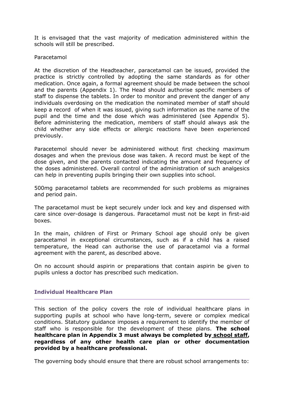It is envisaged that the vast majority of medication administered within the schools will still be prescribed.

#### Paracetamol

At the discretion of the Headteacher, paracetamol can be issued, provided the practice is strictly controlled by adopting the same standards as for other medication. Once again, a formal agreement should be made between the school and the parents (Appendix 1). The Head should authorise specific members of staff to dispense the tablets. In order to monitor and prevent the danger of any individuals overdosing on the medication the nominated member of staff should keep a record of when it was issued, giving such information as the name of the pupil and the time and the dose which was administered (see Appendix 5). Before administering the medication, members of staff should always ask the child whether any side effects or allergic reactions have been experienced previously.

Paracetemol should never be administered without first checking maximum dosages and when the previous dose was taken. A record must be kept of the dose given, and the parents contacted indicating the amount and frequency of the doses administered. Overall control of the administration of such analgesics can help in preventing pupils bringing their own supplies into school.

500mg paracetamol tablets are recommended for such problems as migraines and period pain.

The paracetamol must be kept securely under lock and key and dispensed with care since over-dosage is dangerous. Paracetamol must not be kept in first-aid boxes.

In the main, children of First or Primary School age should only be given paracetamol in exceptional circumstances, such as if a child has a raised temperature, the Head can authorise the use of paracetamol via a formal agreement with the parent, as described above.

On no account should aspirin or preparations that contain aspirin be given to pupils unless a doctor has prescribed such medication.

#### <span id="page-13-0"></span>**Individual Healthcare Plan**

This section of the policy covers the role of individual healthcare plans in supporting pupils at school who have long-term, severe or complex medical conditions. Statutory guidance imposes a requirement to identify the member of staff who is responsible for the development of these plans. **The school healthcare plan in Appendix 3 must always be completed by school staff, regardless of any other health care plan or other documentation provided by a healthcare professional.**

The governing body should ensure that there are robust school arrangements to: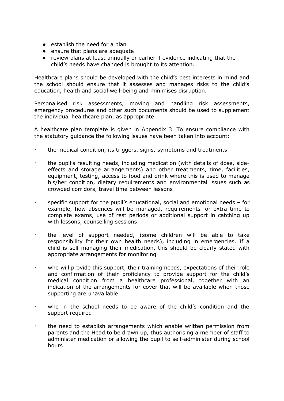- establish the need for a plan
- ensure that plans are adequate
- review plans at least annually or earlier if evidence indicating that the child's needs have changed is brought to its attention.

Healthcare plans should be developed with the child's best interests in mind and the school should ensure that it assesses and manages risks to the child's education, health and social well-being and minimises disruption.

Personalised risk assessments, moving and handling risk assessments, emergency procedures and other such documents should be used to supplement the individual healthcare plan, as appropriate.

A healthcare plan template is given in Appendix 3. To ensure compliance with the statutory guidance the following issues have been taken into account:

- the medical condition, its triggers, signs, symptoms and treatments
- the pupil's resulting needs, including medication (with details of dose, sideeffects and storage arrangements) and other treatments, time, facilities, equipment, testing, access to food and drink where this is used to manage his/her condition, dietary requirements and environmental issues such as crowded corridors, travel time between lessons
- specific support for the pupil's educational, social and emotional needs for example, how absences will be managed, requirements for extra time to complete exams, use of rest periods or additional support in catching up with lessons, counselling sessions
- the level of support needed, (some children will be able to take responsibility for their own health needs), including in emergencies. If a child is self-managing their medication, this should be clearly stated with appropriate arrangements for monitoring
- who will provide this support, their training needs, expectations of their role and confirmation of their proficiency to provide support for the child's medical condition from a healthcare professional, together with an indication of the arrangements for cover that will be available when those supporting are unavailable
- who in the school needs to be aware of the child's condition and the support required
- the need to establish arrangements which enable written permission from parents and the Head to be drawn up, thus authorising a member of staff to administer medication or allowing the pupil to self-administer during school hours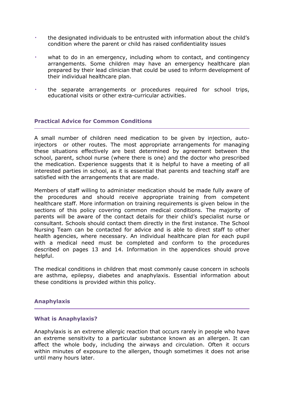- the designated individuals to be entrusted with information about the child's condition where the parent or child has raised confidentiality issues
- what to do in an emergency, including whom to contact, and contingency arrangements. Some children may have an emergency healthcare plan prepared by their lead clinician that could be used to inform development of their individual healthcare plan.
- the separate arrangements or procedures required for school trips, educational visits or other extra-curricular activities.

# <span id="page-15-0"></span>**Practical Advice for Common Conditions**

A small number of children need medication to be given by injection, autoinjectors or other routes. The most appropriate arrangements for managing these situations effectively are best determined by agreement between the school, parent, school nurse (where there is one) and the doctor who prescribed the medication. Experience suggests that it is helpful to have a meeting of all interested parties in school, as it is essential that parents and teaching staff are satisfied with the arrangements that are made.

Members of staff willing to administer medication should be made fully aware of the procedures and should receive appropriate training from competent healthcare staff. More information on training requirements is given below in the sections of this policy covering common medical conditions. The majority of parents will be aware of the contact details for their child's specialist nurse or consultant. Schools should contact them directly in the first instance. The School Nursing Team can be contacted for advice and is able to direct staff to other health agencies, where necessary. An individual healthcare plan for each pupil with a medical need must be completed and conform to the procedures described on pages 13 and 14. Information in the appendices should prove helpful.

The medical conditions in children that most commonly cause concern in schools are asthma, epilepsy, diabetes and anaphylaxis. Essential information about these conditions is provided within this policy.

#### <span id="page-15-1"></span>**Anaphylaxis**

#### **What is Anaphylaxis?**

Anaphylaxis is an extreme allergic reaction that occurs rarely in people who have an extreme sensitivity to a particular substance known as an allergen. It can affect the whole body, including the airways and circulation. Often it occurs within minutes of exposure to the allergen, though sometimes it does not arise until many hours later.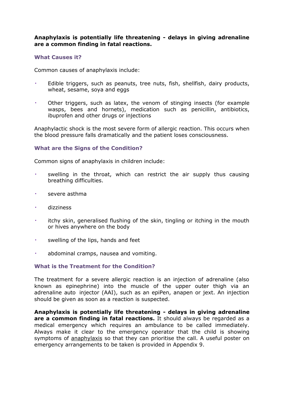# **Anaphylaxis is potentially life threatening - delays in giving adrenaline are a common finding in fatal reactions.**

#### **What Causes it?**

Common causes of anaphylaxis include:

- Edible triggers, such as peanuts, tree nuts, fish, shellfish, dairy products, wheat, sesame, soya and eggs
- Other triggers, such as latex, the venom of stinging insects (for example wasps, bees and hornets), medication such as penicillin, antibiotics, ibuprofen and other drugs or injections

Anaphylactic shock is the most severe form of allergic reaction. This occurs when the blood pressure falls dramatically and the patient loses consciousness.

# **What are the Signs of the Condition?**

Common signs of anaphylaxis in children include:

- swelling in the throat, which can restrict the air supply thus causing breathing difficulties.
- severe asthma
- dizziness
- itchy skin, generalised flushing of the skin, tingling or itching in the mouth or hives anywhere on the body
- swelling of the lips, hands and feet
- abdominal cramps, nausea and vomiting.

#### **What is the Treatment for the Condition?**

The treatment for a severe allergic reaction is an injection of adrenaline (also known as epinephrine) into the muscle of the upper outer thigh via an adrenaline auto injector (AAI), such as an epiPen, anapen or jext. An injection should be given as soon as a reaction is suspected.

**Anaphylaxis is potentially life threatening - delays in giving adrenaline are a common finding in fatal reactions.** It should always be regarded as a medical emergency which requires an ambulance to be called immediately. Always make it clear to the emergency operator that the child is showing symptoms of anaphylaxis so that they can prioritise the call. A useful poster on emergency arrangements to be taken is provided in Appendix 9.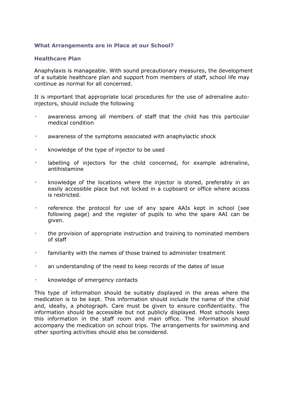# **What Arrangements are in Place at our School?**

## **Healthcare Plan**

Anaphylaxis is manageable. With sound precautionary measures, the development of a suitable healthcare plan and support from members of staff, school life may continue as normal for all concerned.

It is important that appropriate local procedures for the use of adrenaline autoinjectors, should include the following

- awareness among all members of staff that the child has this particular medical condition
- awareness of the symptoms associated with anaphylactic shock
- knowledge of the type of injector to be used
- labelling of injectors for the child concerned, for example adrenaline, antihistamine
- knowledge of the locations where the injector is stored, preferably in an easily accessible place but not locked in a cupboard or office where access is restricted.
- reference the protocol for use of any spare AAIs kept in school (see following page) and the register of pupils to who the spare AAI can be given.
- the provision of appropriate instruction and training to nominated members of staff
- familiarity with the names of those trained to administer treatment
- an understanding of the need to keep records of the dates of issue
- knowledge of emergency contacts

This type of information should be suitably displayed in the areas where the medication is to be kept. This information should include the name of the child and, ideally, a photograph. Care must be given to ensure confidentiality. The information should be accessible but not publicly displayed. Most schools keep this information in the staff room and main office. The information should accompany the medication on school trips. The arrangements for swimming and other sporting activities should also be considered.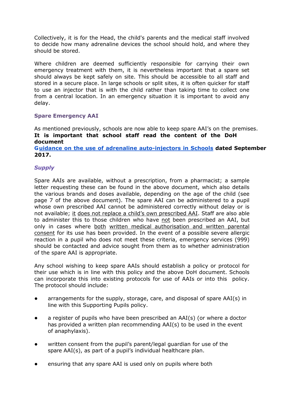Collectively, it is for the Head, the child's parents and the medical staff involved to decide how many adrenaline devices the school should hold, and where they should be stored.

Where children are deemed sufficiently responsible for carrying their own emergency treatment with them, it is nevertheless important that a spare set should always be kept safely on site. This should be accessible to all staff and stored in a secure place. In large schools or split sites, it is often quicker for staff to use an injector that is with the child rather than taking time to collect one from a central location. In an emergency situation it is important to avoid any delay.

# <span id="page-18-0"></span>**Spare Emergency AAI**

As mentioned previously, schools are now able to keep spare AAI's on the premises. **It is important that school staff read the content of the DoH document Guidance on the use of adrenaline [auto-injectors](https://assets.publishing.service.gov.uk/government/uploads/system/uploads/attachment_data/file/645476/Adrenaline_auto_injectors_in_schools.pdf) in Schools dated September 2017.**

# *Supply*

Spare AAIs are available, without a prescription, from a pharmacist; a sample letter requesting these can be found in the above document, which also details the various brands and doses available, depending on the age of the child (see page 7 of the above document). The spare AAI can be administered to a pupil whose own prescribed AAI cannot be administered correctly without delay or is not available; it does not replace a child's own prescribed AAI. Staff are also able to administer this to those children who have not been prescribed an AAI, but only in cases where both written medical authorisation and written parental consent for its use has been provided. In the event of a possible severe allergic reaction in a pupil who does not meet these criteria, emergency services (999) should be contacted and advice sought from them as to whether administration of the spare AAI is appropriate.

Any school wishing to keep spare AAIs should establish a policy or protocol for their use which is in line with this policy and the above DoH document. Schools can incorporate this into existing protocols for use of AAIs or into this policy. The protocol should include:

- arrangements for the supply, storage, care, and disposal of spare AAI(s) in line with this Supporting Pupils policy.
- a register of pupils who have been prescribed an AAI(s) (or where a doctor has provided a written plan recommending AAI(s) to be used in the event of anaphylaxis).
- written consent from the pupil's parent/legal guardian for use of the spare AAI(s), as part of a pupil's individual healthcare plan.
- ensuring that any spare AAI is used only on pupils where both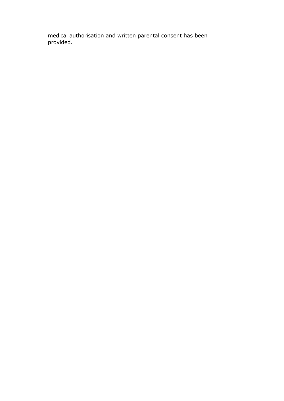medical authorisation and written parental consent has been provided.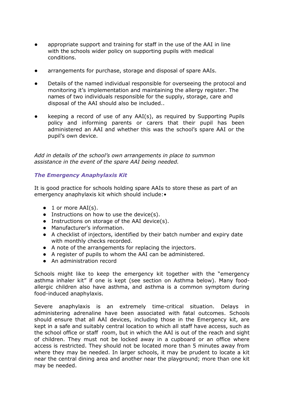- appropriate support and training for staff in the use of the AAI in line with the schools wider policy on supporting pupils with medical conditions.
- arrangements for purchase, storage and disposal of spare AAIs.
- Details of the named individual responsible for overseeing the protocol and monitoring it's implementation and maintaining the allergy register. The names of two individuals responsible for the supply, storage, care and disposal of the AAI should also be included..
- keeping a record of use of any AAI(s), as required by Supporting Pupils policy and informing parents or carers that their pupil has been administered an AAI and whether this was the school's spare AAI or the pupil's own device.

*Add in details of the school's own arrangements in place to summon assistance in the event of the spare AAI being needed.*

## *The Emergency Anaphylaxis Kit*

It is good practice for schools holding spare AAIs to store these as part of an emergency anaphylaxis kit which should include:•

- $\bullet$  1 or more AAI(s).
- Instructions on how to use the device(s).
- Instructions on storage of the AAI device(s).
- Manufacturer's information.
- A checklist of injectors, identified by their batch number and expiry date with monthly checks recorded.
- A note of the arrangements for replacing the injectors.
- A register of pupils to whom the AAI can be administered.
- An administration record

Schools might like to keep the emergency kit together with the "emergency asthma inhaler kit" if one is kept (see section on Asthma below). Many foodallergic children also have asthma, and asthma is a common symptom during food-induced anaphylaxis.

Severe anaphylaxis is an extremely time-critical situation. Delays in administering adrenaline have been associated with fatal outcomes. Schools should ensure that all AAI devices, including those in the Emergency kit, are kept in a safe and suitably central location to which all staff have access, such as the school office or staff room, but in which the AAI is out of the reach and sight of children. They must not be locked away in a cupboard or an office where access is restricted. They should not be located more than 5 minutes away from where they may be needed. In larger schools, it may be prudent to locate a kit near the central dining area and another near the playground; more than one kit may be needed.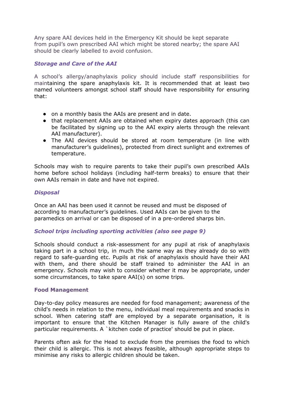Any spare AAI devices held in the Emergency Kit should be kept separate from pupil's own prescribed AAI which might be stored nearby; the spare AAI should be clearly labelled to avoid confusion.

# *Storage and Care of the AAI*

A school's allergy/anaphylaxis policy should include staff responsibilities for maintaining the spare anaphylaxis kit. It is recommended that at least two named volunteers amongst school staff should have responsibility for ensuring that:

- on a monthly basis the AAIs are present and in date.
- that replacement AAIs are obtained when expiry dates approach (this can be facilitated by signing up to the AAI expiry alerts through the relevant AAI manufacturer).
- The AAI devices should be stored at room temperature (in line with manufacturer's guidelines), protected from direct sunlight and extremes of temperature.

Schools may wish to require parents to take their pupil's own prescribed AAIs home before school holidays (including half-term breaks) to ensure that their own AAIs remain in date and have not expired.

# *Disposal*

Once an AAI has been used it cannot be reused and must be disposed of according to manufacturer's guidelines. Used AAIs can be given to the paramedics on arrival or can be disposed of in a pre-ordered sharps bin.

# *School trips including sporting activities (also see page 9)*

Schools should conduct a risk-assessment for any pupil at risk of anaphylaxis taking part in a school trip, in much the same way as they already do so with regard to safe-guarding etc. Pupils at risk of anaphylaxis should have their AAI with them, and there should be staff trained to administer the AAI in an emergency. Schools may wish to consider whether it may be appropriate, under some circumstances, to take spare AAI(s) on some trips.

# **Food Management**

Day-to-day policy measures are needed for food management; awareness of the child's needs in relation to the menu, individual meal requirements and snacks in school. When catering staff are employed by a separate organisation, it is important to ensure that the Kitchen Manager is fully aware of the child's particular requirements. A `kitchen code of practice' should be put in place.

Parents often ask for the Head to exclude from the premises the food to which their child is allergic. This is not always feasible, although appropriate steps to minimise any risks to allergic children should be taken.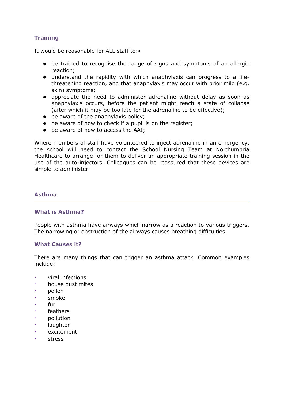# **Training**

It would be reasonable for ALL staff to:•

- be trained to recognise the range of signs and symptoms of an allergic reaction;
- understand the rapidity with which anaphylaxis can progress to a lifethreatening reaction, and that anaphylaxis may occur with prior mild (e.g. skin) symptoms;
- appreciate the need to administer adrenaline without delay as soon as anaphylaxis occurs, before the patient might reach a state of collapse (after which it may be too late for the adrenaline to be effective);
- be aware of the anaphylaxis policy;
- be aware of how to check if a pupil is on the register;
- be aware of how to access the AAI;

Where members of staff have volunteered to inject adrenaline in an emergency, the school will need to contact the School Nursing Team at Northumbria Healthcare to arrange for them to deliver an appropriate training session in the use of the auto-injectors. Colleagues can be reassured that these devices are simple to administer.

## <span id="page-22-0"></span>**Asthma**

#### **What is Asthma?**

People with asthma have airways which narrow as a reaction to various triggers. The narrowing or obstruction of the airways causes breathing difficulties.

#### **What Causes it?**

There are many things that can trigger an asthma attack. Common examples include:

- viral infections
- house dust mites
- pollen
- smoke
- fur.
- feathers
- pollution
- laughter
- excitement
- stress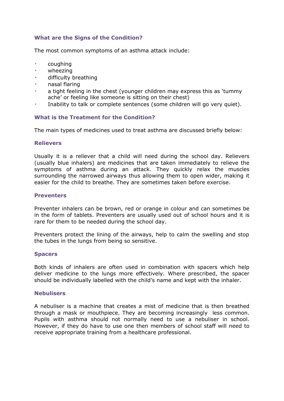# **What are the Signs of the Condition?**

The most common symptoms of an asthma attack include:

- coughing
- wheezing
- difficulty breathing
- nasal flaring
- a tight feeling in the chest (younger children may express this as 'tummy ache' or feeling like someone is sitting on their chest)
- Inability to talk or complete sentences (some children will go very quiet).

## **What is the Treatment for the Condition?**

The main types of medicines used to treat asthma are discussed briefly below:

## **Relievers**

Usually it is a reliever that a child will need during the school day. Relievers (usually blue inhalers) are medicines that are taken immediately to relieve the symptoms of asthma during an attack. They quickly relax the muscles surrounding the narrowed airways thus allowing them to open wider, making it easier for the child to breathe. They are sometimes taken before exercise.

## **Preventers**

Preventer inhalers can be brown, red or orange in colour and can sometimes be in the form of tablets. Preventers are usually used out of school hours and it is rare for them to be needed during the school day.

Preventers protect the lining of the airways, help to calm the swelling and stop the tubes in the lungs from being so sensitive.

#### **Spacers**

Both kinds of inhalers are often used in combination with spacers which help deliver medicine to the lungs more effectively. Where prescribed, the spacer should be individually labelled with the child's name and kept with the inhaler.

#### **Nebulisers**

A nebuliser is a machine that creates a mist of medicine that is then breathed through a mask or mouthpiece. They are becoming increasingly less common. Pupils with asthma should not normally need to use a nebuliser in school. However, if they do have to use one then members of school staff will need to receive appropriate training from a healthcare professional.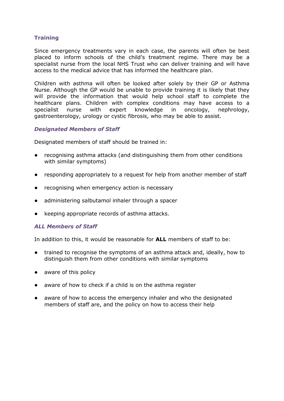# **Training**

Since emergency treatments vary in each case, the parents will often be best placed to inform schools of the child's treatment regime. There may be a specialist nurse from the local NHS Trust who can deliver training and will have access to the medical advice that has informed the healthcare plan.

Children with asthma will often be looked after solely by their GP or Asthma Nurse. Although the GP would be unable to provide training it is likely that they will provide the information that would help school staff to complete the healthcare plans. Children with complex conditions may have access to a specialist nurse with expert knowledge in oncology, nephrology, gastroenterology, urology or cystic fibrosis, who may be able to assist.

# *Designated Members of Staff*

Designated members of staff should be trained in:

- recognising asthma attacks (and distinguishing them from other conditions with similar symptoms)
- responding appropriately to a request for help from another member of staff
- recognising when emergency action is necessary
- administering salbutamol inhaler through a spacer
- keeping appropriate records of asthma attacks.

#### *ALL Members of Staff*

In addition to this, it would be reasonable for **ALL** members of staff to be:

- trained to recognise the symptoms of an asthma attack and, ideally, how to distinguish them from other conditions with similar symptoms
- aware of this policy
- aware of how to check if a child is on the asthma register
- aware of how to access the emergency inhaler and who the designated members of staff are, and the policy on how to access their help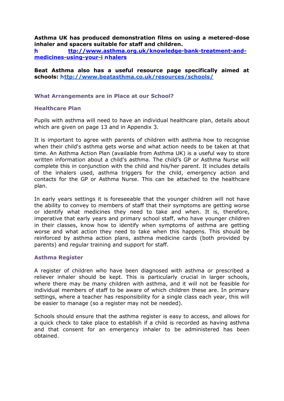## **Asthma UK has produced demonstration films on using a metered-dose inhaler and spacers suitable for staff and children.**

**h [ttp://www.asthma.org.uk/knowledge-bank-treatment-and](http://www.asthma.org.uk/knowledge-bank-treatment-and-medicines-using-your-inhalers)[medicines-using-your-i](http://www.asthma.org.uk/knowledge-bank-treatment-and-medicines-using-your-inhalers) [nhalers](http://www.asthma.org.uk/knowledge-bank-treatment-and-medicines-using-your-inhalers)**

**Beat Asthma also has a useful resource page specifically aimed at schools:<http://www.beatasthma.co.uk/resources/schools/>**

## **What Arrangements are in Place at our School?**

#### **Healthcare Plan**

Pupils with asthma will need to have an individual healthcare plan, details about which are given on page 13 and in Appendix 3.

It is important to agree with parents of children with asthma how to recognise when their child's asthma gets worse and what action needs to be taken at that time. An Asthma Action Plan (available from Asthma UK) is a useful way to store written information about a child's asthma. The child's GP or Asthma Nurse will complete this in conjunction with the child and his/her parent. It includes details of the inhalers used, asthma triggers for the child, emergency action and contacts for the GP or Asthma Nurse. This can be attached to the healthcare plan.

In early years settings it is foreseeable that the younger children will not have the ability to convey to members of staff that their symptoms are getting worse or identify what medicines they need to take and when. It is, therefore, imperative that early years and primary school staff, who have younger children in their classes, know how to identify when symptoms of asthma are getting worse and what action they need to take when this happens. This should be reinforced by asthma action plans, asthma medicine cards (both provided by parents) and regular training and support for staff.

#### **Asthma Register**

A register of children who have been diagnosed with asthma or prescribed a reliever inhaler should be kept. This is particularly crucial in larger schools, where there may be many children with asthma, and it will not be feasible for individual members of staff to be aware of which children these are. In primary settings, where a teacher has responsibility for a single class each year, this will be easier to manage (so a register may not be needed).

Schools should ensure that the asthma register is easy to access, and allows for a quick check to take place to establish if a child is recorded as having asthma and that consent for an emergency inhaler to be administered has been obtained.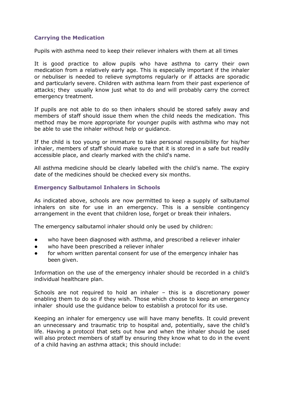# **Carrying the Medication**

Pupils with asthma need to keep their reliever inhalers with them at all times

It is good practice to allow pupils who have asthma to carry their own medication from a relatively early age. This is especially important if the inhaler or nebuliser is needed to relieve symptoms regularly or if attacks are sporadic and particularly severe. Children with asthma learn from their past experience of attacks; they usually know just what to do and will probably carry the correct emergency treatment.

If pupils are not able to do so then inhalers should be stored safely away and members of staff should issue them when the child needs the medication. This method may be more appropriate for younger pupils with asthma who may not be able to use the inhaler without help or guidance.

If the child is too young or immature to take personal responsibility for his/her inhaler, members of staff should make sure that it is stored in a safe but readily accessible place, and clearly marked with the child's name.

All asthma medicine should be clearly labelled with the child's name. The expiry date of the medicines should be checked every six months.

# <span id="page-26-0"></span>**Emergency Salbutamol Inhalers in Schools**

As indicated above, schools are now permitted to keep a supply of salbutamol inhalers on site for use in an emergency. This is a sensible contingency arrangement in the event that children lose, forget or break their inhalers.

The emergency salbutamol inhaler should only be used by children:

- who have been diagnosed with asthma, and prescribed a reliever inhaler
- who have been prescribed a reliever inhaler
- for whom written parental consent for use of the emergency inhaler has been given.

Information on the use of the emergency inhaler should be recorded in a child's individual healthcare plan.

Schools are not required to hold an inhaler – this is a discretionary power enabling them to do so if they wish. Those which choose to keep an emergency inhaler should use the guidance below to establish a protocol for its use.

Keeping an inhaler for emergency use will have many benefits. It could prevent an unnecessary and traumatic trip to hospital and, potentially, save the child's life. Having a protocol that sets out how and when the inhaler should be used will also protect members of staff by ensuring they know what to do in the event of a child having an asthma attack; this should include: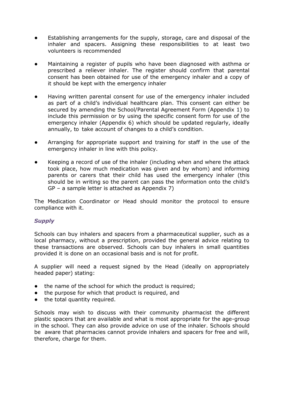- Establishing arrangements for the supply, storage, care and disposal of the inhaler and spacers. Assigning these responsibilities to at least two volunteers is recommended
- Maintaining a register of pupils who have been diagnosed with asthma or prescribed a reliever inhaler. The register should confirm that parental consent has been obtained for use of the emergency inhaler and a copy of it should be kept with the emergency inhaler
- Having written parental consent for use of the emergency inhaler included as part of a child's individual healthcare plan. This consent can either be secured by amending the School/Parental Agreement Form (Appendix 1) to include this permission or by using the specific consent form for use of the emergency inhaler (Appendix 6) which should be updated regularly, ideally annually, to take account of changes to a child's condition.
- Arranging for appropriate support and training for staff in the use of the emergency inhaler in line with this policy.
- Keeping a record of use of the inhaler (including when and where the attack took place, how much medication was given and by whom) and informing parents or carers that their child has used the emergency inhaler (this should be in writing so the parent can pass the information onto the child's GP – a sample letter is attached as Appendix 7)

The Medication Coordinator or Head should monitor the protocol to ensure compliance with it.

# *Supply*

Schools can buy inhalers and spacers from a pharmaceutical supplier, such as a local pharmacy, without a prescription, provided the general advice relating to these transactions are observed. Schools can buy inhalers in small quantities provided it is done on an occasional basis and is not for profit.

A supplier will need a request signed by the Head (ideally on appropriately headed paper) stating:

- the name of the school for which the product is required;
- the purpose for which that product is required, and
- the total quantity required.

Schools may wish to discuss with their community pharmacist the different plastic spacers that are available and what is most appropriate for the age-group in the school. They can also provide advice on use of the inhaler. Schools should be aware that pharmacies cannot provide inhalers and spacers for free and will, therefore, charge for them.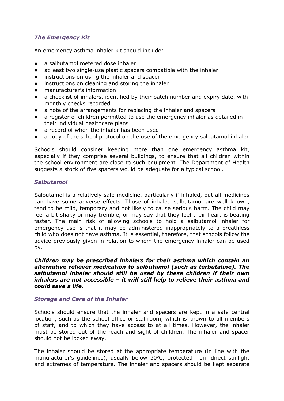# *The Emergency Kit*

An emergency asthma inhaler kit should include:

- a salbutamol metered dose inhaler
- at least two single-use plastic spacers compatible with the inhaler
- instructions on using the inhaler and spacer
- instructions on cleaning and storing the inhaler
- manufacturer's information
- a checklist of inhalers, identified by their batch number and expiry date, with monthly checks recorded
- a note of the arrangements for replacing the inhaler and spacers
- a register of children permitted to use the emergency inhaler as detailed in their individual healthcare plans
- a record of when the inhaler has been used
- a copy of the school protocol on the use of the emergency salbutamol inhaler

Schools should consider keeping more than one emergency asthma kit, especially if they comprise several buildings, to ensure that all children within the school environment are close to such equipment. The Department of Health suggests a stock of five spacers would be adequate for a typical school.

## *Salbutamol*

Salbutamol is a relatively safe medicine, particularly if inhaled, but all medicines can have some adverse effects. Those of inhaled salbutamol are well known, tend to be mild, temporary and not likely to cause serious harm. The child may feel a bit shaky or may tremble, or may say that they feel their heart is beating faster. The main risk of allowing schools to hold a salbutamol inhaler for emergency use is that it may be administered inappropriately to a breathless child who does not have asthma. It is essential, therefore, that schools follow the advice previously given in relation to whom the emergency inhaler can be used by.

*Children may be prescribed inhalers for their asthma which contain an alternative reliever medication to salbutamol (such as terbutaline). The salbutamol inhaler should still be used by these children if their own inhalers are not accessible – it will still help to relieve their asthma and could save a life.*

# *Storage and Care of the Inhaler*

Schools should ensure that the inhaler and spacers are kept in a safe central location, such as the school office or staffroom, which is known to all members of staff, and to which they have access to at all times. However, the inhaler must be stored out of the reach and sight of children. The inhaler and spacer should not be locked away.

The inhaler should be stored at the appropriate temperature (in line with the manufacturer's guidelines), usually below 30°C, protected from direct sunlight and extremes of temperature. The inhaler and spacers should be kept separate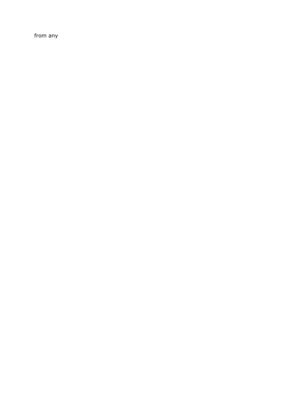from any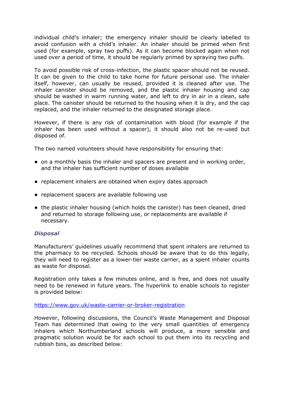individual child's inhaler; the emergency inhaler should be clearly labelled to avoid confusion with a child's inhaler. An inhaler should be primed when first used (for example, spray two puffs). As it can become blocked again when not used over a period of time, it should be regularly primed by spraying two puffs.

To avoid possible risk of cross-infection, the plastic spacer should not be reused. It can be given to the child to take home for future personal use. The inhaler itself, however, can usually be reused, provided it is cleaned after use. The inhaler canister should be removed, and the plastic inhaler housing and cap should be washed in warm running water, and left to dry in air in a clean, safe place. The canister should be returned to the housing when it is dry, and the cap replaced, and the inhaler returned to the designated storage place.

However, if there is any risk of contamination with blood (for example if the inhaler has been used without a spacer), it should also not be re-used but disposed of.

The two named volunteers should have responsibility for ensuring that:

- on a monthly basis the inhaler and spacers are present and in working order, and the inhaler has sufficient number of doses available
- replacement inhalers are obtained when expiry dates approach
- replacement spacers are available following use
- the plastic inhaler housing (which holds the canister) has been cleaned, dried and returned to storage following use, or replacements are available if necessary.

# *Disposal*

Manufacturers' guidelines usually recommend that spent inhalers are returned to the pharmacy to be recycled. Schools should be aware that to do this legally, they will need to register as a lower-tier waste carrier, as a spent inhaler counts as waste for disposal.

Registration only takes a few minutes online, and is free, and does not usually need to be renewed in future years. The hyperlink to enable schools to register is provided below:

<https://www.gov.uk/waste-carrier-or-broker-registration>

However, following discussions, the Council's Waste Management and Disposal Team has determined that owing to the very small quantities of emergency inhalers which Northumberland schools will produce, a more sensible and pragmatic solution would be for each school to put them into its recycling and rubbish bins, as described below: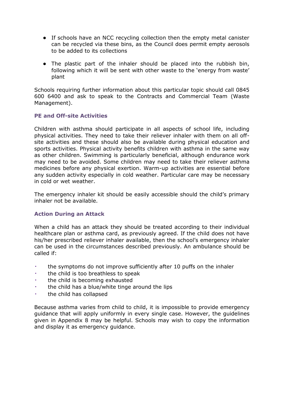- If schools have an NCC recycling collection then the empty metal canister can be recycled via these bins, as the Council does permit empty aerosols to be added to its collections
- The plastic part of the inhaler should be placed into the rubbish bin, following which it will be sent with other waste to the 'energy from waste' plant

Schools requiring further information about this particular topic should call 0845 600 6400 and ask to speak to the Contracts and Commercial Team (Waste Management).

# **PE and Off-site Activities**

Children with asthma should participate in all aspects of school life, including physical activities. They need to take their reliever inhaler with them on all offsite activities and these should also be available during physical education and sports activities. Physical activity benefits children with asthma in the same way as other children. Swimming is particularly beneficial, although endurance work may need to be avoided. Some children may need to take their reliever asthma medicines before any physical exertion. Warm-up activities are essential before any sudden activity especially in cold weather. Particular care may be necessary in cold or wet weather.

The emergency inhaler kit should be easily accessible should the child's primary inhaler not be available.

# **Action During an Attack**

When a child has an attack they should be treated according to their individual healthcare plan or asthma card, as previously agreed. If the child does not have his/her prescribed reliever inhaler available, then the school's emergency inhaler can be used in the circumstances described previously. An ambulance should be called if:

- the symptoms do not improve sufficiently after 10 puffs on the inhaler
- the child is too breathless to speak
- the child is becoming exhausted
- the child has a blue/white tinge around the lips
- the child has collapsed

Because asthma varies from child to child, it is impossible to provide emergency guidance that will apply uniformly in every single case. However, the guidelines given in Appendix 8 may be helpful. Schools may wish to copy the information and display it as emergency guidance.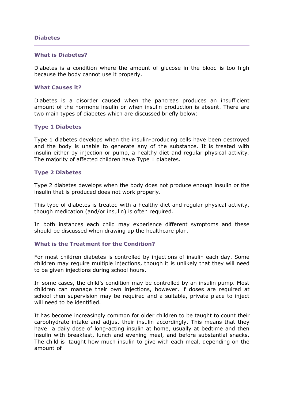#### <span id="page-32-0"></span>**Diabetes**

#### **What is Diabetes?**

Diabetes is a condition where the amount of glucose in the blood is too high because the body cannot use it properly.

#### **What Causes it?**

Diabetes is a disorder caused when the pancreas produces an insufficient amount of the hormone insulin or when insulin production is absent. There are two main types of diabetes which are discussed briefly below:

#### **Type 1 Diabetes**

Type 1 diabetes develops when the insulin-producing cells have been destroyed and the body is unable to generate any of the substance. It is treated with insulin either by injection or pump, a healthy diet and regular physical activity*.*  The majority of affected children have Type 1 diabetes.

#### **Type 2 Diabetes**

Type 2 diabetes develops when the body does not produce enough insulin or the insulin that is produced does not work properly.

This type of diabetes is treated with a healthy diet and regular physical activity, though medication (and/or insulin) is often required*.*

In both instances each child may experience different symptoms and these should be discussed when drawing up the healthcare plan.

#### **What is the Treatment for the Condition?**

For most children diabetes is controlled by injections of insulin each day. Some children may require multiple injections, though it is unlikely that they will need to be given injections during school hours.

In some cases, the child's condition may be controlled by an insulin pump. Most children can manage their own injections, however, if doses are required at school then supervision may be required and a suitable, private place to inject will need to be identified.

It has become increasingly common for older children to be taught to count their carbohydrate intake and adjust their insulin accordingly. This means that they have a daily dose of long-acting insulin at home, usually at bedtime and then insulin with breakfast, lunch and evening meal, and before substantial snacks. The child is taught how much insulin to give with each meal, depending on the amount of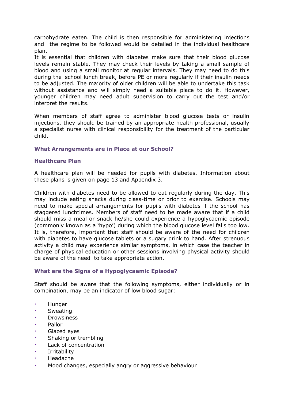carbohydrate eaten. The child is then responsible for administering injections and the regime to be followed would be detailed in the individual healthcare plan.

It is essential that children with diabetes make sure that their blood glucose levels remain stable. They may check their levels by taking a small sample of blood and using a small monitor at regular intervals. They may need to do this during the school lunch break, before PE or more regularly if their insulin needs to be adjusted. The majority of older children will be able to undertake this task without assistance and will simply need a suitable place to do it. However, younger children may need adult supervision to carry out the test and/or interpret the results.

When members of staff agree to administer blood glucose tests or insulin injections, they should be trained by an appropriate health professional, usually a specialist nurse with clinical responsibility for the treatment of the particular child.

## **What Arrangements are in Place at our School?**

#### **Healthcare Plan**

A healthcare plan will be needed for pupils with diabetes. Information about these plans is given on page 13 and Appendix 3.

Children with diabetes need to be allowed to eat regularly during the day. This may include eating snacks during class-time or prior to exercise. Schools may need to make special arrangements for pupils with diabetes if the school has staggered lunchtimes. Members of staff need to be made aware that if a child should miss a meal or snack he/she could experience a hypoglycaemic episode (commonly known as a 'hypo') during which the blood glucose level falls too low. It is, therefore, important that staff should be aware of the need for children with diabetes to have glucose tablets or a sugary drink to hand. After strenuous activity a child may experience similar symptoms, in which case the teacher in charge of physical education or other sessions involving physical activity should be aware of the need to take appropriate action.

#### **What are the Signs of a Hypoglycaemic Episode?**

Staff should be aware that the following symptoms, either individually or in combination, may be an indicator of low blood sugar:

- Hunger
- Sweating
- **Drowsiness**
- **Pallor**
- Glazed eyes
- Shaking or trembling
- Lack of concentration
- Irritability
- **Headache**
- Mood changes, especially angry or aggressive behaviour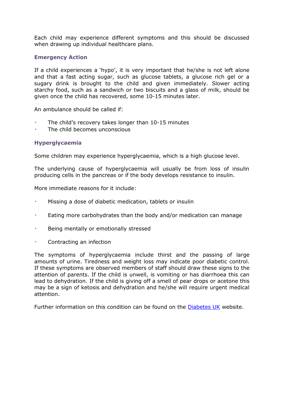Each child may experience different symptoms and this should be discussed when drawing up individual healthcare plans.

# **Emergency Action**

If a child experiences a 'hypo', it is very important that he/she is not left alone and that a fast acting sugar, such as glucose tablets, a glucose rich gel or a sugary drink is brought to the child and given immediately. Slower acting starchy food, such as a sandwich or two biscuits and a glass of milk, should be given once the child has recovered, some 10-15 minutes later.

An ambulance should be called if:

- The child's recovery takes longer than 10-15 minutes
- The child becomes unconscious

# **Hyperglycaemia**

Some children may experience hyperglycaemia, which is a high glucose level.

The underlying cause of hyperglycaemia will usually be from loss of insulin producing cells in the pancreas or if the body develops resistance to insulin.

More immediate reasons for it include:

- Missing a dose of diabetic medication, tablets or insulin
- Eating more carbohydrates than the body and/or medication can manage
- Being mentally or emotionally stressed
- Contracting an infection

The symptoms of hyperglycaemia include thirst and the passing of large amounts of urine. Tiredness and weight loss may indicate poor diabetic control. If these symptoms are observed members of staff should draw these signs to the attention of parents. If the child is unwell, is vomiting or has diarrhoea this can lead to dehydration. If the child is giving off a smell of pear drops or acetone this may be a sign of ketosis and dehydration and he/she will require urgent medical attention.

Further information on this condition can be found on the [Diabetes UK](http://www.diabetes.org.uk/) website.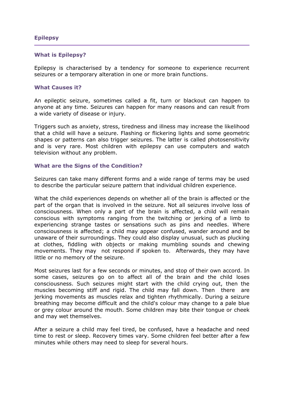## <span id="page-35-0"></span>**Epilepsy**

#### **What is Epilepsy?**

Epilepsy is characterised by a tendency for someone to experience recurrent seizures or a temporary alteration in one or more brain functions.

#### **What Causes it?**

An epileptic seizure, sometimes called a fit, turn or blackout can happen to anyone at any time. Seizures can happen for many reasons and can result from a wide variety of disease or injury.

Triggers such as anxiety, stress, tiredness and illness may increase the likelihood that a child will have a seizure. Flashing or flickering lights and some geometric shapes or patterns can also trigger seizures. The latter is called photosensitivity and is very rare. Most children with epilepsy can use computers and watch television without any problem.

#### **What are the Signs of the Condition?**

Seizures can take many different forms and a wide range of terms may be used to describe the particular seizure pattern that individual children experience.

What the child experiences depends on whether all of the brain is affected or the part of the organ that is involved in the seizure. Not all seizures involve loss of consciousness. When only a part of the brain is affected, a child will remain conscious with symptoms ranging from the twitching or jerking of a limb to experiencing strange tastes or sensations such as pins and needles. Where consciousness is affected; a child may appear confused, wander around and be unaware of their surroundings. They could also display unusual, such as plucking at clothes, fiddling with objects or making mumbling sounds and chewing movements. They may not respond if spoken to. Afterwards, they may have little or no memory of the seizure.

Most seizures last for a few seconds or minutes, and stop of their own accord. In some cases, seizures go on to affect all of the brain and the child loses consciousness. Such seizures might start with the child crying out, then the muscles becoming stiff and rigid. The child may fall down. Then there are jerking movements as muscles relax and tighten rhythmically. During a seizure breathing may become difficult and the child's colour may change to a pale blue or grey colour around the mouth. Some children may bite their tongue or cheek and may wet themselves.

After a seizure a child may feel tired, be confused, have a headache and need time to rest or sleep. Recovery times vary. Some children feel better after a few minutes while others may need to sleep for several hours.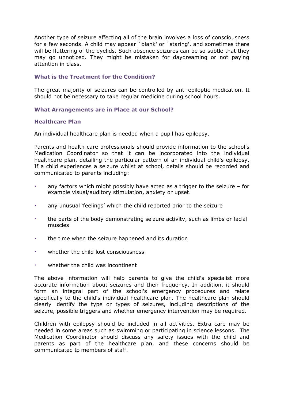Another type of seizure affecting all of the brain involves a loss of consciousness for a few seconds. A child may appear `blank' or `staring', and sometimes there will be fluttering of the eyelids. Such absence seizures can be so subtle that they may go unnoticed. They might be mistaken for daydreaming or not paying attention in class.

# **What is the Treatment for the Condition?**

The great majority of seizures can be controlled by anti-epileptic medication. It should not be necessary to take regular medicine during school hours.

# **What Arrangements are in Place at our School?**

# **Healthcare Plan**

An individual healthcare plan is needed when a pupil has epilepsy.

Parents and health care professionals should provide information to the school's Medication Coordinator so that it can be incorporated into the individual healthcare plan, detailing the particular pattern of an individual child's epilepsy. If a child experiences a seizure whilst at school, details should be recorded and communicated to parents including:

- any factors which might possibly have acted as a trigger to the seizure  $-$  for example visual/auditory stimulation, anxiety or upset.
- any unusual 'feelings' which the child reported prior to the seizure
- the parts of the body demonstrating seizure activity, such as limbs or facial muscles
- the time when the seizure happened and its duration
- whether the child lost consciousness
- whether the child was incontinent

The above information will help parents to give the child's specialist more accurate information about seizures and their frequency. In addition, it should form an integral part of the school's emergency procedures and relate specifically to the child's individual healthcare plan. The healthcare plan should clearly identify the type or types of seizures, including descriptions of the seizure, possible triggers and whether emergency intervention may be required.

Children with epilepsy should be included in all activities. Extra care may be needed in some areas such as swimming or participating in science lessons. The Medication Coordinator should discuss any safety issues with the child and parents as part of the healthcare plan, and these concerns should be communicated to members of staff.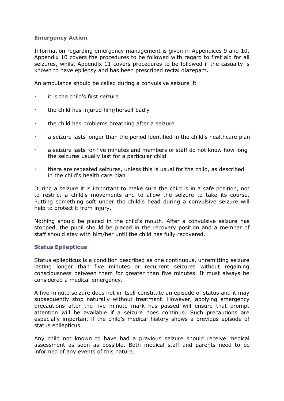# **Emergency Action**

Information regarding emergency management is given in Appendices 9 and 10. Appendix 10 covers the procedures to be followed with regard to first aid for all seizures, whilst Appendix 11 covers procedures to be followed if the casualty is known to have epilepsy and has been prescribed rectal diazepam.

An ambulance should be called during a convulsive seizure if:

- it is the child's first seizure
- the child has injured him/herself badly
- the child has problems breathing after a seizure
- a seizure lasts longer than the period identified in the child's healthcare plan
- a seizure lasts for five minutes and members of staff do not know how long the seizures usually last for a particular child
- there are repeated seizures, unless this is usual for the child, as described in the child's health care plan

During a seizure it is important to make sure the child is in a safe position, not to restrict a child's movements and to allow the seizure to take its course. Putting something soft under the child's head during a convulsive seizure will help to protect it from injury.

Nothing should be placed in the child's mouth. After a convulsive seizure has stopped, the pupil should be placed in the recovery position and a member of staff should stay with him/her until the child has fully recovered.

#### **Status Epilepticus**

Status epilepticus is a condition described as one continuous, unremitting seizure lasting longer than five minutes or recurrent seizures without regaining consciousness between them for greater than five minutes. It must always be considered a medical emergency.

A five minute seizure does not in itself constitute an episode of status and it may subsequently stop naturally without treatment. However, applying emergency precautions after the five minute mark has passed will ensure that prompt attention will be available if a seizure does continue. Such precautions are especially important if the child's medical history shows a previous episode of status epilepticus.

Any child not known to have had a previous seizure should receive medical assessment as soon as possible. Both medical staff and parents need to be informed of any events of this nature.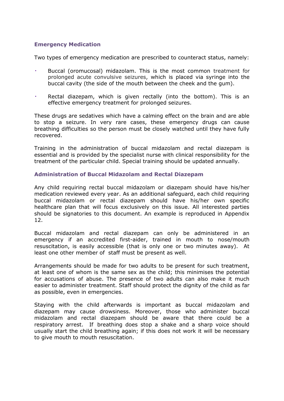# **Emergency Medication**

Two types of emergency medication are prescribed to counteract status, namely:

- Buccal (oromucosal) midazolam. This is the most common treatment for prolonged acute convulsive seizures, which is placed via syringe into the buccal cavity (the side of the mouth between the cheek and the gum).
- Rectal diazepam, which is given rectally (into the bottom). This is an effective emergency treatment for prolonged seizures.

These drugs are sedatives which have a calming effect on the brain and are able to stop a seizure. In very rare cases, these emergency drugs can cause breathing difficulties so the person must be closely watched until they have fully recovered.

Training in the administration of buccal midazolam and rectal diazepam is essential and is provided by the specialist nurse with clinical responsibility for the treatment of the particular child. Special training should be updated annually.

#### **Administration of Buccal Midazolam and Rectal Diazepam**

Any child requiring rectal buccal midazolam or diazepam should have his/her medication reviewed every year. As an additional safeguard, each child requiring buccal midazolam or rectal diazepam should have his/her own specific healthcare plan that will focus exclusively on this issue. All interested parties should be signatories to this document. An example is reproduced in Appendix 12.

Buccal midazolam and rectal diazepam can only be administered in an emergency if an accredited first-aider, trained in mouth to nose/mouth resuscitation, is easily accessible (that is only one or two minutes away). At least one other member of staff must be present as well.

Arrangements should be made for two adults to be present for such treatment, at least one of whom is the same sex as the child; this minimises the potential for accusations of abuse. The presence of two adults can also make it much easier to administer treatment. Staff should protect the dignity of the child as far as possible, even in emergencies.

Staying with the child afterwards is important as buccal midazolam and diazepam may cause drowsiness. Moreover, those who administer buccal midazolam and rectal diazepam should be aware that there could be a respiratory arrest. If breathing does stop a shake and a sharp voice should usually start the child breathing again; if this does not work it will be necessary to give mouth to mouth resuscitation.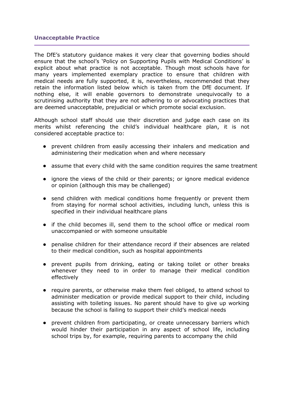#### <span id="page-39-0"></span>**Unacceptable Practice**

The DfE's statutory guidance makes it very clear that governing bodies should ensure that the school's 'Policy on Supporting Pupils with Medical Conditions' is explicit about what practice is not acceptable. Though most schools have for many years implemented exemplary practice to ensure that children with medical needs are fully supported, it is, nevertheless, recommended that they retain the information listed below which is taken from the DfE document. If nothing else, it will enable governors to demonstrate unequivocally to a scrutinising authority that they are not adhering to or advocating practices that are deemed unacceptable, prejudicial or which promote social exclusion.

Although school staff should use their discretion and judge each case on its merits whilst referencing the child's individual healthcare plan, it is not considered acceptable practice to:

- prevent children from easily accessing their inhalers and medication and administering their medication when and where necessary
- assume that every child with the same condition requires the same treatment
- ignore the views of the child or their parents; or ignore medical evidence or opinion (although this may be challenged)
- send children with medical conditions home frequently or prevent them from staying for normal school activities, including lunch, unless this is specified in their individual healthcare plans
- if the child becomes ill, send them to the school office or medical room unaccompanied or with someone unsuitable
- penalise children for their attendance record if their absences are related to their medical condition, such as hospital appointments
- prevent pupils from drinking, eating or taking toilet or other breaks whenever they need to in order to manage their medical condition effectively
- require parents, or otherwise make them feel obliged, to attend school to administer medication or provide medical support to their child, including assisting with toileting issues. No parent should have to give up working because the school is failing to support their child's medical needs
- prevent children from participating, or create unnecessary barriers which would hinder their participation in any aspect of school life, including school trips by, for example, requiring parents to accompany the child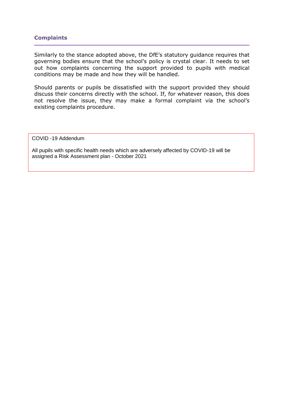## <span id="page-40-0"></span>**Complaints**

Similarly to the stance adopted above, the DfE's statutory guidance requires that governing bodies ensure that the school's policy is crystal clear. It needs to set out how complaints concerning the support provided to pupils with medical conditions may be made and how they will be handled.

Should parents or pupils be dissatisfied with the support provided they should discuss their concerns directly with the school. If, for whatever reason, this does not resolve the issue, they may make a formal complaint via the school's existing complaints procedure.

COVID -19 Addendum

All pupils with specific health needs which are adversely affected by COVID-19 will be assigned a Risk Assessment plan - October 2021